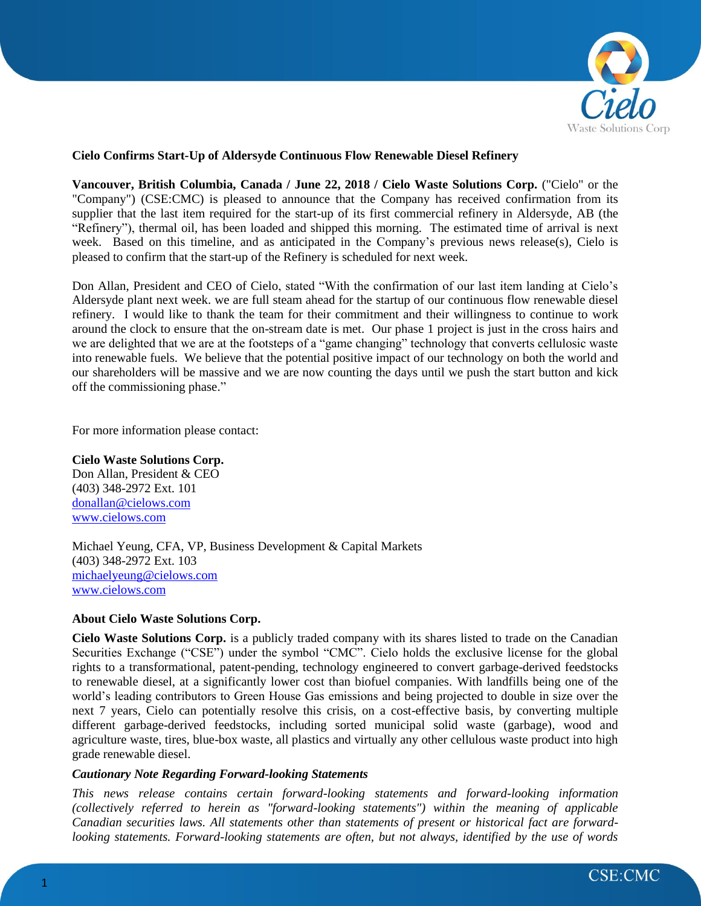

## **Cielo Confirms Start-Up of Aldersyde Continuous Flow Renewable Diesel Refinery**

**Vancouver, British Columbia, Canada / June 22, 2018 / Cielo Waste Solutions Corp.** ("Cielo" or the "Company") (CSE:CMC) is pleased to announce that the Company has received confirmation from its supplier that the last item required for the start-up of its first commercial refinery in Aldersyde, AB (the "Refinery"), thermal oil, has been loaded and shipped this morning. The estimated time of arrival is next week. Based on this timeline, and as anticipated in the Company's previous news release(s), Cielo is pleased to confirm that the start-up of the Refinery is scheduled for next week.

Don Allan, President and CEO of Cielo, stated "With the confirmation of our last item landing at Cielo's Aldersyde plant next week. we are full steam ahead for the startup of our continuous flow renewable diesel refinery. I would like to thank the team for their commitment and their willingness to continue to work around the clock to ensure that the on-stream date is met. Our phase 1 project is just in the cross hairs and we are delighted that we are at the footsteps of a "game changing" technology that converts cellulosic waste into renewable fuels. We believe that the potential positive impact of our technology on both the world and our shareholders will be massive and we are now counting the days until we push the start button and kick off the commissioning phase."

For more information please contact:

## **Cielo Waste Solutions Corp.**

Don Allan, President & CEO (403) 348-2972 Ext. 101 [donallan@cielows.com](mailto:donallan@cielows.com) [www.cielows.com](http://www.cielows.com/)

Michael Yeung, CFA, VP, Business Development & Capital Markets (403) 348-2972 Ext. 103 [michaelyeung@cielows.com](mailto:michaelyeung@cielows.com) [www.cielows.com](http://www.cielows.com/)

## **About Cielo Waste Solutions Corp.**

**Cielo Waste Solutions Corp.** is a publicly traded company with its shares listed to trade on the Canadian Securities Exchange ("CSE") under the symbol "CMC". Cielo holds the exclusive license for the global rights to a transformational, patent-pending, technology engineered to convert garbage-derived feedstocks to renewable diesel, at a significantly lower cost than biofuel companies. With landfills being one of the world's leading contributors to Green House Gas emissions and being projected to double in size over the next 7 years, Cielo can potentially resolve this crisis, on a cost-effective basis, by converting multiple different garbage-derived feedstocks, including sorted municipal solid waste (garbage), wood and agriculture waste, tires, blue-box waste, all plastics and virtually any other cellulous waste product into high grade renewable diesel.

## *Cautionary Note Regarding Forward-looking Statements*

*This news release contains certain forward-looking statements and forward-looking information (collectively referred to herein as "forward-looking statements") within the meaning of applicable Canadian securities laws. All statements other than statements of present or historical fact are forwardlooking statements. Forward-looking statements are often, but not always, identified by the use of words*